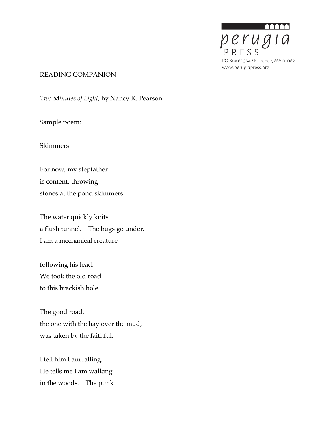

### READING COMPANION

*Two Minutes of Light,* by Nancy K. Pearson

## Sample poem:

### Skimmers

For now, my stepfather is content, throwing stones at the pond skimmers.

The water quickly knits a flush tunnel. The bugs go under. I am a mechanical creature

following his lead. We took the old road to this brackish hole.

The good road, the one with the hay over the mud, was taken by the faithful.

I tell him I am falling. He tells me I am walking in the woods. The punk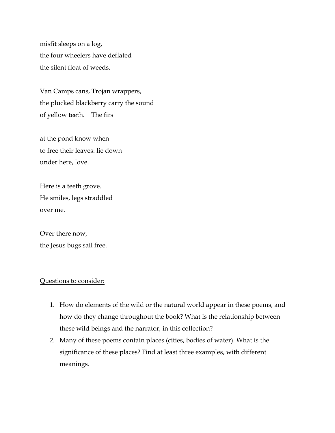misfit sleeps on a log, the four wheelers have deflated the silent float of weeds.

Van Camps cans, Trojan wrappers, the plucked blackberry carry the sound of yellow teeth. The firs

at the pond know when to free their leaves: lie down under here, love.

Here is a teeth grove. He smiles, legs straddled over me.

Over there now, the Jesus bugs sail free.

### Questions to consider:

- 1. How do elements of the wild or the natural world appear in these poems, and how do they change throughout the book? What is the relationship between these wild beings and the narrator, in this collection?
- 2. Many of these poems contain places (cities, bodies of water). What is the significance of these places? Find at least three examples, with different meanings.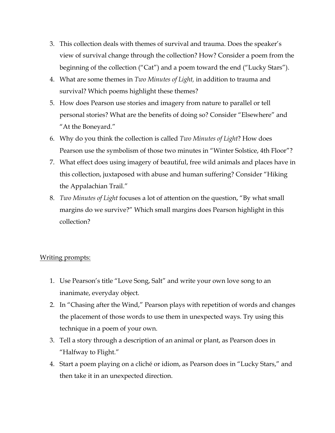- 3. This collection deals with themes of survival and trauma. Does the speaker's view of survival change through the collection? How? Consider a poem from the beginning of the collection ("Cat") and a poem toward the end ("Lucky Stars").
- 4. What are some themes in *Two Minutes of Light,* in addition to trauma and survival? Which poems highlight these themes?
- 5. How does Pearson use stories and imagery from nature to parallel or tell personal stories? What are the benefits of doing so? Consider "Elsewhere" and "At the Boneyard."
- 6. Why do you think the collection is called *Two Minutes of Light*? How does Pearson use the symbolism of those two minutes in "Winter Solstice, 4th Floor"?
- 7. What effect does using imagery of beautiful, free wild animals and places have in this collection, juxtaposed with abuse and human suffering? Consider "Hiking the Appalachian Trail."
- 8. *Two Minutes of Light* focuses a lot of attention on the question, "By what small margins do we survive?" Which small margins does Pearson highlight in this collection?

# Writing prompts:

- 1. Use Pearson's title "Love Song, Salt" and write your own love song to an inanimate, everyday object.
- 2. In "Chasing after the Wind," Pearson plays with repetition of words and changes the placement of those words to use them in unexpected ways. Try using this technique in a poem of your own.
- 3. Tell a story through a description of an animal or plant, as Pearson does in "Halfway to Flight."
- 4. Start a poem playing on a cliché or idiom, as Pearson does in "Lucky Stars," and then take it in an unexpected direction.